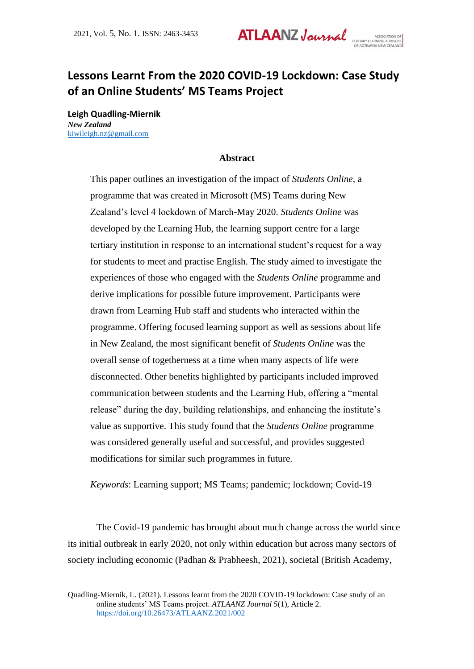# **Lessons Learnt From the 2020 COVID-19 Lockdown: Case Study of an Online Students' MS Teams Project**

**Leigh Quadling-Miernik** *New Zealand* [kiwileigh.nz@gmail.com](mailto:kiwileigh.nz@gmail.com)

#### **Abstract**

This paper outlines an investigation of the impact of *Students Online*, a programme that was created in Microsoft (MS) Teams during New Zealand's level 4 lockdown of March-May 2020. *Students Online* was developed by the Learning Hub, the learning support centre for a large tertiary institution in response to an international student's request for a way for students to meet and practise English. The study aimed to investigate the experiences of those who engaged with the *Students Online* programme and derive implications for possible future improvement. Participants were drawn from Learning Hub staff and students who interacted within the programme. Offering focused learning support as well as sessions about life in New Zealand, the most significant benefit of *Students Online* was the overall sense of togetherness at a time when many aspects of life were disconnected. Other benefits highlighted by participants included improved communication between students and the Learning Hub, offering a "mental release" during the day, building relationships, and enhancing the institute's value as supportive. This study found that the *Students Online* programme was considered generally useful and successful, and provides suggested modifications for similar such programmes in future.

*Keywords*: Learning support; MS Teams; pandemic; lockdown; Covid-19

The Covid-19 pandemic has brought about much change across the world since its initial outbreak in early 2020, not only within education but across many sectors of society including economic (Padhan & Prabheesh, 2021), societal (British Academy,

Quadling-Miernik, L. (2021). Lessons learnt from the 2020 COVID-19 lockdown: Case study of an online students' MS Teams project. *ATLAANZ Journal 5*(1), Article 2. <https://doi.org/10.26473/ATLAANZ.2021/002>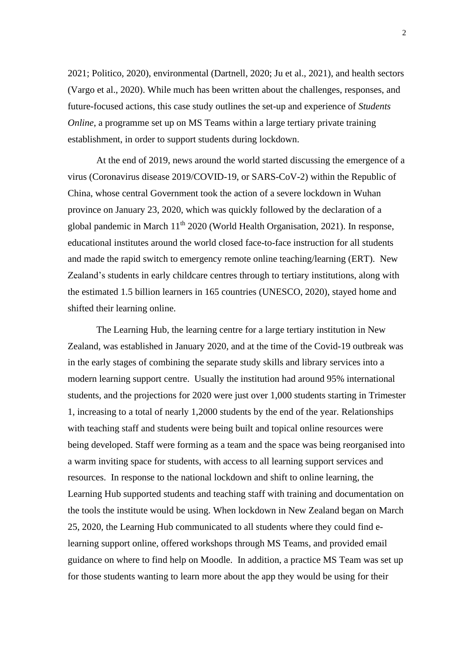2021; Politico, 2020), environmental (Dartnell, 2020; Ju et al., 2021), and health sectors (Vargo et al., 2020). While much has been written about the challenges, responses, and future-focused actions, this case study outlines the set-up and experience of *Students Online*, a programme set up on MS Teams within a large tertiary private training establishment, in order to support students during lockdown.

At the end of 2019, news around the world started discussing the emergence of a virus (Coronavirus disease 2019/COVID-19, or SARS-CoV-2) within the Republic of China, whose central Government took the action of a severe lockdown in Wuhan province on January 23, 2020, which was quickly followed by the declaration of a global pandemic in March  $11<sup>th</sup> 2020$  (World Health Organisation, 2021). In response, educational institutes around the world closed face-to-face instruction for all students and made the rapid switch to emergency remote online teaching/learning (ERT). New Zealand's students in early childcare centres through to tertiary institutions, along with the estimated 1.5 billion learners in 165 countries (UNESCO, 2020), stayed home and shifted their learning online.

The Learning Hub, the learning centre for a large tertiary institution in New Zealand, was established in January 2020, and at the time of the Covid-19 outbreak was in the early stages of combining the separate study skills and library services into a modern learning support centre. Usually the institution had around 95% international students, and the projections for 2020 were just over 1,000 students starting in Trimester 1, increasing to a total of nearly 1,2000 students by the end of the year. Relationships with teaching staff and students were being built and topical online resources were being developed. Staff were forming as a team and the space was being reorganised into a warm inviting space for students, with access to all learning support services and resources. In response to the national lockdown and shift to online learning, the Learning Hub supported students and teaching staff with training and documentation on the tools the institute would be using. When lockdown in New Zealand began on March 25, 2020, the Learning Hub communicated to all students where they could find elearning support online, offered workshops through MS Teams, and provided email guidance on where to find help on Moodle. In addition, a practice MS Team was set up for those students wanting to learn more about the app they would be using for their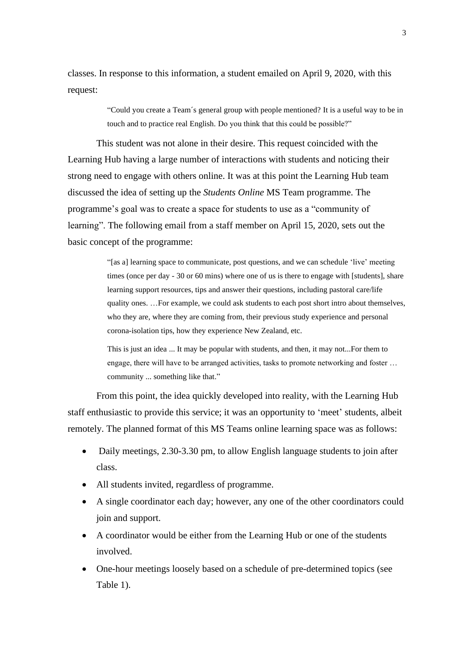classes. In response to this information, a student emailed on April 9, 2020, with this request:

> "Could you create a Team´s general group with people mentioned? It is a useful way to be in touch and to practice real English. Do you think that this could be possible?"

This student was not alone in their desire. This request coincided with the Learning Hub having a large number of interactions with students and noticing their strong need to engage with others online. It was at this point the Learning Hub team discussed the idea of setting up the *Students Online* MS Team programme. The programme's goal was to create a space for students to use as a "community of learning". The following email from a staff member on April 15, 2020, sets out the basic concept of the programme:

> "[as a] learning space to communicate, post questions, and we can schedule 'live' meeting times (once per day - 30 or 60 mins) where one of us is there to engage with [students], share learning support resources, tips and answer their questions, including pastoral care/life quality ones. …For example, we could ask students to each post short intro about themselves, who they are, where they are coming from, their previous study experience and personal corona-isolation tips, how they experience New Zealand, etc.

This is just an idea ... It may be popular with students, and then, it may not...For them to engage, there will have to be arranged activities, tasks to promote networking and foster … community ... something like that."

From this point, the idea quickly developed into reality, with the Learning Hub staff enthusiastic to provide this service; it was an opportunity to 'meet' students, albeit remotely. The planned format of this MS Teams online learning space was as follows:

- Daily meetings, 2.30-3.30 pm, to allow English language students to join after class.
- All students invited, regardless of programme.
- A single coordinator each day; however, any one of the other coordinators could join and support.
- A coordinator would be either from the Learning Hub or one of the students involved.
- One-hour meetings loosely based on a schedule of pre-determined topics (see Table 1).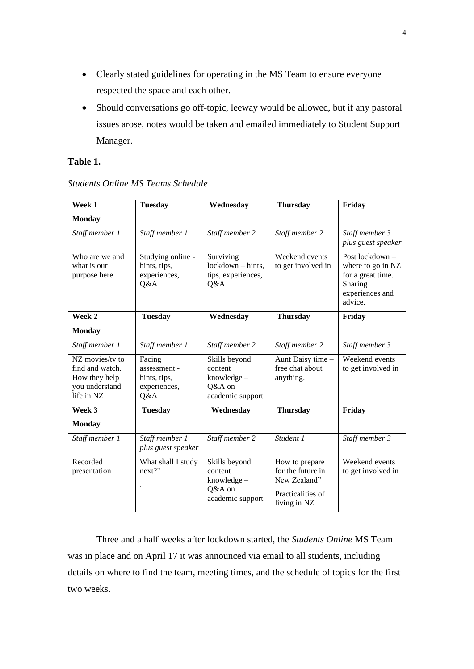- Clearly stated guidelines for operating in the MS Team to ensure everyone respected the space and each other.
- Should conversations go off-topic, leeway would be allowed, but if any pastoral issues arose, notes would be taken and emailed immediately to Student Support Manager.

## **Table 1.**

| Week 1                                                                              | <b>Tuesday</b>                                                | Wednesday                                                               | <b>Thursday</b>                                                                          | Friday                                                                                             |
|-------------------------------------------------------------------------------------|---------------------------------------------------------------|-------------------------------------------------------------------------|------------------------------------------------------------------------------------------|----------------------------------------------------------------------------------------------------|
| <b>Monday</b>                                                                       |                                                               |                                                                         |                                                                                          |                                                                                                    |
| Staff member 1                                                                      | Staff member 1                                                | Staff member 2                                                          | Staff member 2                                                                           | Staff member 3<br>plus guest speaker                                                               |
| Who are we and<br>what is our<br>purpose here                                       | Studying online -<br>hints, tips,<br>experiences,<br>Q&A      | Surviving<br>lockdown - hints,<br>tips, experiences,<br>Q&A             | Weekend events<br>to get involved in                                                     | Post lockdown -<br>where to go in NZ<br>for a great time.<br>Sharing<br>experiences and<br>advice. |
| Week 2                                                                              | <b>Tuesday</b>                                                | Wednesday                                                               | <b>Thursday</b>                                                                          | Friday                                                                                             |
| <b>Monday</b>                                                                       |                                                               |                                                                         |                                                                                          |                                                                                                    |
| Staff member 1                                                                      | Staff member 1                                                | Staff member 2                                                          | Staff member 2                                                                           | Staff member 3                                                                                     |
| NZ movies/tv to<br>find and watch.<br>How they help<br>you understand<br>life in NZ | Facing<br>assessment -<br>hints, tips,<br>experiences,<br>Q&A | Skills beyond<br>content<br>knowledge $-$<br>Q&A on<br>academic support | Aunt Daisy time -<br>free chat about<br>anything.                                        | Weekend events<br>to get involved in                                                               |
| Week 3<br><b>Monday</b>                                                             | <b>Tuesday</b>                                                | Wednesday                                                               | <b>Thursday</b>                                                                          | Friday                                                                                             |
| Staff member 1                                                                      | Staff member 1<br>plus guest speaker                          | Staff member 2                                                          | Student 1                                                                                | Staff member 3                                                                                     |
| Recorded<br>presentation                                                            | What shall I study<br>next?"                                  | Skills beyond<br>content<br>knowledge $-$<br>Q&A on<br>academic support | How to prepare<br>for the future in<br>New Zealand"<br>Practicalities of<br>living in NZ | Weekend events<br>to get involved in                                                               |

### *Students Online MS Teams Schedule*

Three and a half weeks after lockdown started, the *Students Online* MS Team was in place and on April 17 it was announced via email to all students, including details on where to find the team, meeting times, and the schedule of topics for the first two weeks.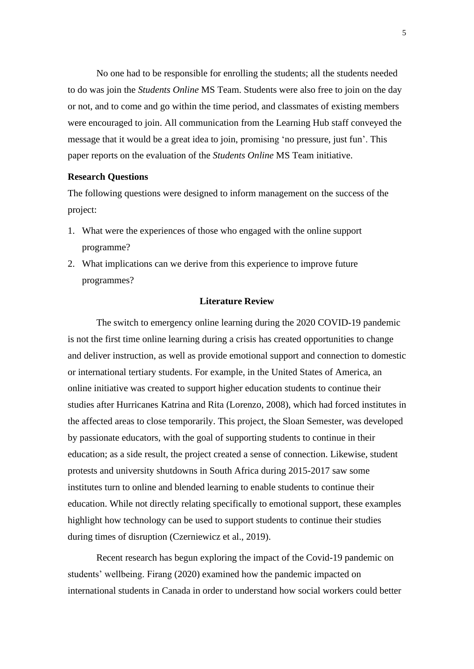No one had to be responsible for enrolling the students; all the students needed to do was join the *Students Online* MS Team. Students were also free to join on the day or not, and to come and go within the time period, and classmates of existing members were encouraged to join. All communication from the Learning Hub staff conveyed the message that it would be a great idea to join, promising 'no pressure, just fun'. This paper reports on the evaluation of the *Students Online* MS Team initiative.

#### **Research Questions**

The following questions were designed to inform management on the success of the project:

- 1. What were the experiences of those who engaged with the online support programme?
- 2. What implications can we derive from this experience to improve future programmes?

#### **Literature Review**

The switch to emergency online learning during the 2020 COVID-19 pandemic is not the first time online learning during a crisis has created opportunities to change and deliver instruction, as well as provide emotional support and connection to domestic or international tertiary students. For example, in the United States of America, an online initiative was created to support higher education students to continue their studies after Hurricanes Katrina and Rita (Lorenzo, 2008), which had forced institutes in the affected areas to close temporarily. This project, the Sloan Semester, was developed by passionate educators, with the goal of supporting students to continue in their education; as a side result, the project created a sense of connection. Likewise, student protests and university shutdowns in South Africa during 2015-2017 saw some institutes turn to online and blended learning to enable students to continue their education. While not directly relating specifically to emotional support, these examples highlight how technology can be used to support students to continue their studies during times of disruption (Czerniewicz et al., 2019).

Recent research has begun exploring the impact of the Covid-19 pandemic on students' wellbeing. Firang (2020) examined how the pandemic impacted on international students in Canada in order to understand how social workers could better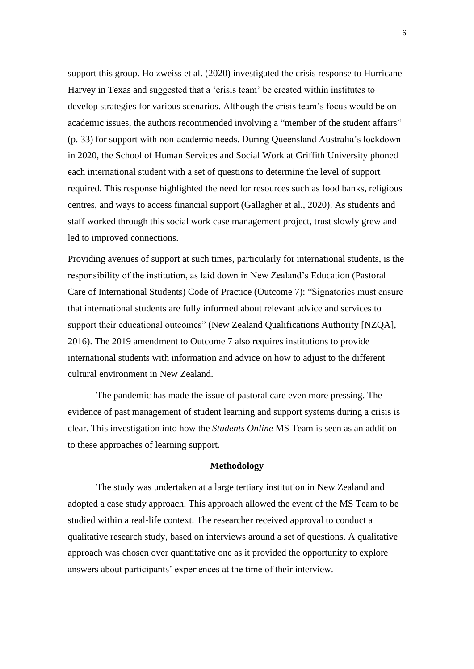support this group. Holzweiss et al. (2020) investigated the crisis response to Hurricane Harvey in Texas and suggested that a 'crisis team' be created within institutes to develop strategies for various scenarios. Although the crisis team's focus would be on academic issues, the authors recommended involving a "member of the student affairs" (p. 33) for support with non-academic needs. During Queensland Australia's lockdown in 2020, the School of Human Services and Social Work at Griffith University phoned each international student with a set of questions to determine the level of support required. This response highlighted the need for resources such as food banks, religious centres, and ways to access financial support (Gallagher et al., 2020). As students and staff worked through this social work case management project, trust slowly grew and led to improved connections.

Providing avenues of support at such times, particularly for international students, is the responsibility of the institution, as laid down in New Zealand's Education (Pastoral Care of International Students) Code of Practice (Outcome 7): "Signatories must ensure that international students are fully informed about relevant advice and services to support their educational outcomes" (New Zealand Qualifications Authority [NZQA], 2016). The 2019 amendment to Outcome 7 also requires institutions to provide international students with information and advice on how to adjust to the different cultural environment in New Zealand.

The pandemic has made the issue of pastoral care even more pressing. The evidence of past management of student learning and support systems during a crisis is clear. This investigation into how the *Students Online* MS Team is seen as an addition to these approaches of learning support.

#### **Methodology**

The study was undertaken at a large tertiary institution in New Zealand and adopted a case study approach. This approach allowed the event of the MS Team to be studied within a real-life context. The researcher received approval to conduct a qualitative research study, based on interviews around a set of questions. A qualitative approach was chosen over quantitative one as it provided the opportunity to explore answers about participants' experiences at the time of their interview.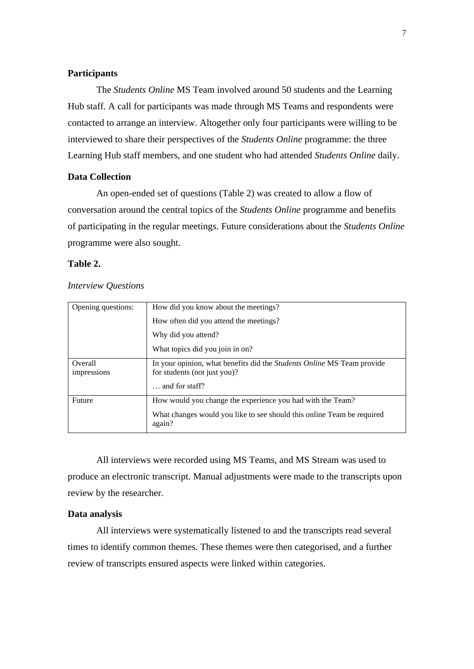#### **Participants**

The *Students Online* MS Team involved around 50 students and the Learning Hub staff. A call for participants was made through MS Teams and respondents were contacted to arrange an interview. Altogether only four participants were willing to be interviewed to share their perspectives of the *Students Online* programme: the three Learning Hub staff members, and one student who had attended *Students Online* daily.

#### **Data Collection**

An open-ended set of questions (Table 2) was created to allow a flow of conversation around the central topics of the *Students Online* programme and benefits of participating in the regular meetings. Future considerations about the *Students Online* programme were also sought.

#### **Table 2.**

#### *Interview Questions*

| Opening questions:     | How did you know about the meetings?                                                                   |  |  |
|------------------------|--------------------------------------------------------------------------------------------------------|--|--|
|                        | How often did you attend the meetings?                                                                 |  |  |
|                        | Why did you attend?                                                                                    |  |  |
|                        | What topics did you join in on?                                                                        |  |  |
| Overall<br>impressions | In your opinion, what benefits did the Students Online MS Team provide<br>for students (not just you)? |  |  |
|                        | $\ldots$ and for staff?                                                                                |  |  |
| Future                 | How would you change the experience you had with the Team?                                             |  |  |
|                        | What changes would you like to see should this online Team be required<br>again?                       |  |  |

All interviews were recorded using MS Teams, and MS Stream was used to produce an electronic transcript. Manual adjustments were made to the transcripts upon review by the researcher.

#### **Data analysis**

All interviews were systematically listened to and the transcripts read several times to identify common themes. These themes were then categorised, and a further review of transcripts ensured aspects were linked within categories.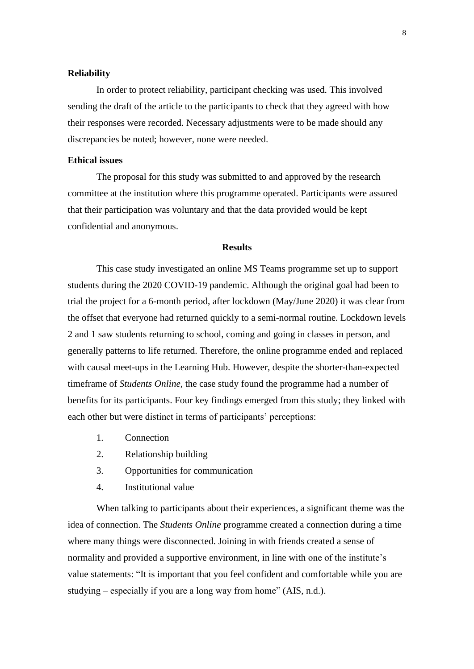#### **Reliability**

In order to protect reliability, participant checking was used. This involved sending the draft of the article to the participants to check that they agreed with how their responses were recorded. Necessary adjustments were to be made should any discrepancies be noted; however, none were needed.

#### **Ethical issues**

The proposal for this study was submitted to and approved by the research committee at the institution where this programme operated. Participants were assured that their participation was voluntary and that the data provided would be kept confidential and anonymous.

#### **Results**

This case study investigated an online MS Teams programme set up to support students during the 2020 COVID-19 pandemic. Although the original goal had been to trial the project for a 6-month period, after lockdown (May/June 2020) it was clear from the offset that everyone had returned quickly to a semi-normal routine. Lockdown levels 2 and 1 saw students returning to school, coming and going in classes in person, and generally patterns to life returned. Therefore, the online programme ended and replaced with causal meet-ups in the Learning Hub. However, despite the shorter-than-expected timeframe of *Students Online*, the case study found the programme had a number of benefits for its participants. Four key findings emerged from this study; they linked with each other but were distinct in terms of participants' perceptions:

- 1. Connection
- 2. Relationship building
- 3. Opportunities for communication
- 4. Institutional value

When talking to participants about their experiences, a significant theme was the idea of connection. The *Students Online* programme created a connection during a time where many things were disconnected. Joining in with friends created a sense of normality and provided a supportive environment, in line with one of the institute's value statements: "It is important that you feel confident and comfortable while you are studying – especially if you are a long way from home" (AIS, n.d.).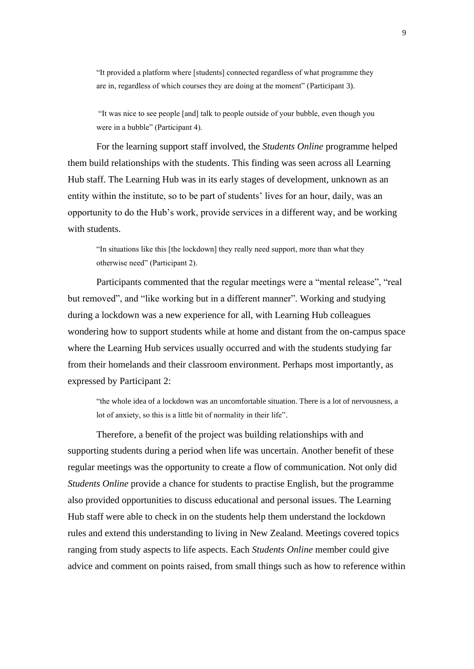"It provided a platform where [students] connected regardless of what programme they are in, regardless of which courses they are doing at the moment" (Participant 3).

"It was nice to see people [and] talk to people outside of your bubble, even though you were in a bubble" (Participant 4).

For the learning support staff involved, the *Students Online* programme helped them build relationships with the students. This finding was seen across all Learning Hub staff. The Learning Hub was in its early stages of development, unknown as an entity within the institute, so to be part of students' lives for an hour, daily, was an opportunity to do the Hub's work, provide services in a different way, and be working with students.

"In situations like this [the lockdown] they really need support, more than what they otherwise need" (Participant 2).

Participants commented that the regular meetings were a "mental release", "real but removed", and "like working but in a different manner". Working and studying during a lockdown was a new experience for all, with Learning Hub colleagues wondering how to support students while at home and distant from the on-campus space where the Learning Hub services usually occurred and with the students studying far from their homelands and their classroom environment. Perhaps most importantly, as expressed by Participant 2:

"the whole idea of a lockdown was an uncomfortable situation. There is a lot of nervousness, a lot of anxiety, so this is a little bit of normality in their life".

Therefore, a benefit of the project was building relationships with and supporting students during a period when life was uncertain. Another benefit of these regular meetings was the opportunity to create a flow of communication. Not only did *Students Online* provide a chance for students to practise English, but the programme also provided opportunities to discuss educational and personal issues. The Learning Hub staff were able to check in on the students help them understand the lockdown rules and extend this understanding to living in New Zealand. Meetings covered topics ranging from study aspects to life aspects. Each *Students Online* member could give advice and comment on points raised, from small things such as how to reference within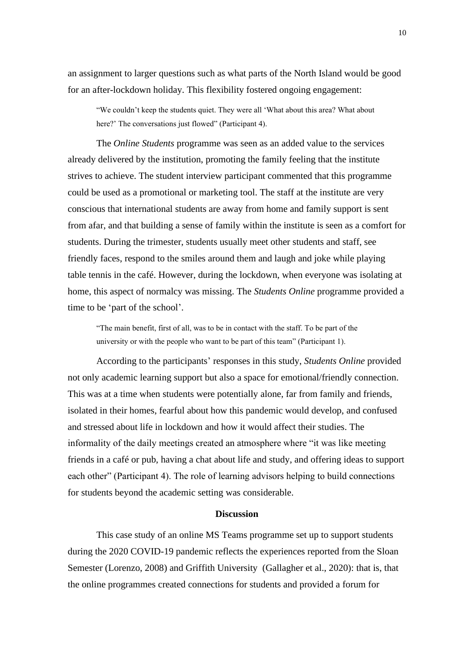an assignment to larger questions such as what parts of the North Island would be good for an after-lockdown holiday. This flexibility fostered ongoing engagement:

"We couldn't keep the students quiet. They were all 'What about this area? What about here?' The conversations just flowed" (Participant 4).

The *Online Students* programme was seen as an added value to the services already delivered by the institution, promoting the family feeling that the institute strives to achieve. The student interview participant commented that this programme could be used as a promotional or marketing tool. The staff at the institute are very conscious that international students are away from home and family support is sent from afar, and that building a sense of family within the institute is seen as a comfort for students. During the trimester, students usually meet other students and staff, see friendly faces, respond to the smiles around them and laugh and joke while playing table tennis in the café. However, during the lockdown, when everyone was isolating at home, this aspect of normalcy was missing. The *Students Online* programme provided a time to be 'part of the school'.

"The main benefit, first of all, was to be in contact with the staff. To be part of the university or with the people who want to be part of this team" (Participant 1).

According to the participants' responses in this study, *Students Online* provided not only academic learning support but also a space for emotional/friendly connection. This was at a time when students were potentially alone, far from family and friends, isolated in their homes, fearful about how this pandemic would develop, and confused and stressed about life in lockdown and how it would affect their studies. The informality of the daily meetings created an atmosphere where "it was like meeting friends in a café or pub, having a chat about life and study, and offering ideas to support each other" (Participant 4). The role of learning advisors helping to build connections for students beyond the academic setting was considerable.

#### **Discussion**

This case study of an online MS Teams programme set up to support students during the 2020 COVID-19 pandemic reflects the experiences reported from the Sloan Semester (Lorenzo, 2008) and Griffith University (Gallagher et al., 2020): that is, that the online programmes created connections for students and provided a forum for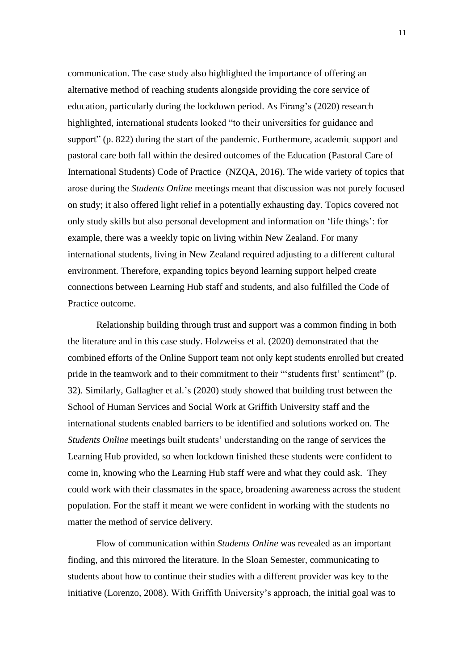communication. The case study also highlighted the importance of offering an alternative method of reaching students alongside providing the core service of education, particularly during the lockdown period. As Firang's (2020) research highlighted, international students looked "to their universities for guidance and support" (p. 822) during the start of the pandemic. Furthermore, academic support and pastoral care both fall within the desired outcomes of the Education (Pastoral Care of International Students) Code of Practice (NZQA, 2016). The wide variety of topics that arose during the *Students Online* meetings meant that discussion was not purely focused on study; it also offered light relief in a potentially exhausting day. Topics covered not only study skills but also personal development and information on 'life things': for example, there was a weekly topic on living within New Zealand. For many international students, living in New Zealand required adjusting to a different cultural environment. Therefore, expanding topics beyond learning support helped create connections between Learning Hub staff and students, and also fulfilled the Code of Practice outcome.

Relationship building through trust and support was a common finding in both the literature and in this case study. Holzweiss et al. (2020) demonstrated that the combined efforts of the Online Support team not only kept students enrolled but created pride in the teamwork and to their commitment to their "'students first' sentiment" (p. 32). Similarly, Gallagher et al.'s (2020) study showed that building trust between the School of Human Services and Social Work at Griffith University staff and the international students enabled barriers to be identified and solutions worked on. The *Students Online* meetings built students' understanding on the range of services the Learning Hub provided, so when lockdown finished these students were confident to come in, knowing who the Learning Hub staff were and what they could ask. They could work with their classmates in the space, broadening awareness across the student population. For the staff it meant we were confident in working with the students no matter the method of service delivery.

Flow of communication within *Students Online* was revealed as an important finding, and this mirrored the literature. In the Sloan Semester, communicating to students about how to continue their studies with a different provider was key to the initiative (Lorenzo, 2008). With Griffith University's approach, the initial goal was to

11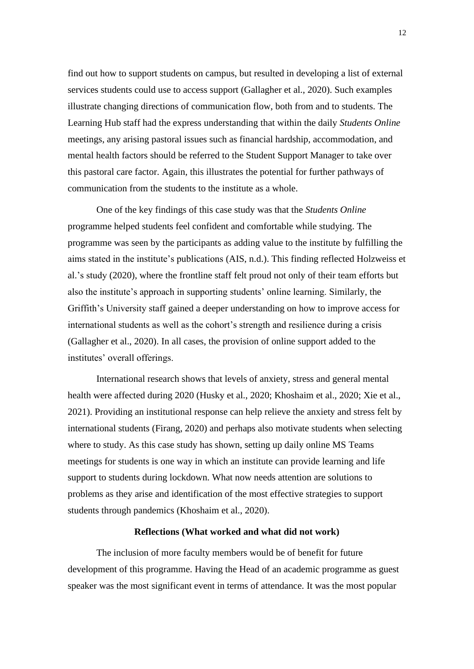find out how to support students on campus, but resulted in developing a list of external services students could use to access support (Gallagher et al., 2020). Such examples illustrate changing directions of communication flow, both from and to students. The Learning Hub staff had the express understanding that within the daily *Students Online* meetings, any arising pastoral issues such as financial hardship, accommodation, and mental health factors should be referred to the Student Support Manager to take over this pastoral care factor. Again, this illustrates the potential for further pathways of communication from the students to the institute as a whole.

One of the key findings of this case study was that the *Students Online*  programme helped students feel confident and comfortable while studying. The programme was seen by the participants as adding value to the institute by fulfilling the aims stated in the institute's publications (AIS, n.d.). This finding reflected Holzweiss et al.'s study (2020), where the frontline staff felt proud not only of their team efforts but also the institute's approach in supporting students' online learning. Similarly, the Griffith's University staff gained a deeper understanding on how to improve access for international students as well as the cohort's strength and resilience during a crisis (Gallagher et al., 2020). In all cases, the provision of online support added to the institutes' overall offerings.

International research shows that levels of anxiety, stress and general mental health were affected during 2020 (Husky et al., 2020; Khoshaim et al., 2020; Xie et al., 2021). Providing an institutional response can help relieve the anxiety and stress felt by international students (Firang, 2020) and perhaps also motivate students when selecting where to study. As this case study has shown, setting up daily online MS Teams meetings for students is one way in which an institute can provide learning and life support to students during lockdown. What now needs attention are solutions to problems as they arise and identification of the most effective strategies to support students through pandemics (Khoshaim et al., 2020).

#### **Reflections (What worked and what did not work)**

The inclusion of more faculty members would be of benefit for future development of this programme. Having the Head of an academic programme as guest speaker was the most significant event in terms of attendance. It was the most popular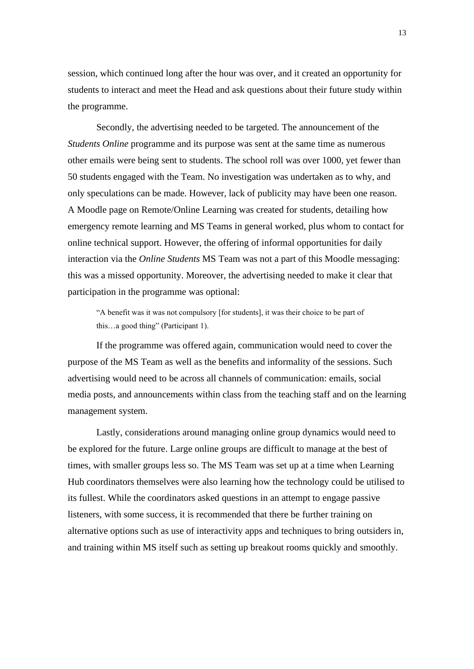session, which continued long after the hour was over, and it created an opportunity for students to interact and meet the Head and ask questions about their future study within the programme.

Secondly, the advertising needed to be targeted. The announcement of the *Students Online* programme and its purpose was sent at the same time as numerous other emails were being sent to students. The school roll was over 1000, yet fewer than 50 students engaged with the Team. No investigation was undertaken as to why, and only speculations can be made. However, lack of publicity may have been one reason. A Moodle page on Remote/Online Learning was created for students, detailing how emergency remote learning and MS Teams in general worked, plus whom to contact for online technical support. However, the offering of informal opportunities for daily interaction via the *Online Students* MS Team was not a part of this Moodle messaging: this was a missed opportunity. Moreover, the advertising needed to make it clear that participation in the programme was optional:

"A benefit was it was not compulsory [for students], it was their choice to be part of this…a good thing" (Participant 1).

If the programme was offered again, communication would need to cover the purpose of the MS Team as well as the benefits and informality of the sessions. Such advertising would need to be across all channels of communication: emails, social media posts, and announcements within class from the teaching staff and on the learning management system.

Lastly, considerations around managing online group dynamics would need to be explored for the future. Large online groups are difficult to manage at the best of times, with smaller groups less so. The MS Team was set up at a time when Learning Hub coordinators themselves were also learning how the technology could be utilised to its fullest. While the coordinators asked questions in an attempt to engage passive listeners, with some success, it is recommended that there be further training on alternative options such as use of interactivity apps and techniques to bring outsiders in, and training within MS itself such as setting up breakout rooms quickly and smoothly.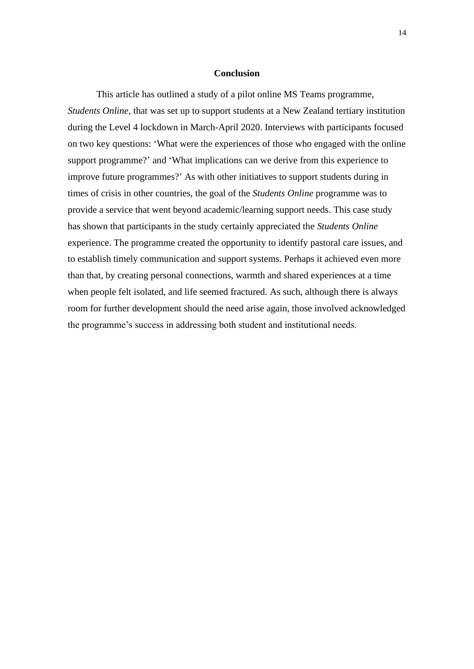#### **Conclusion**

This article has outlined a study of a pilot online MS Teams programme, *Students Online*, that was set up to support students at a New Zealand tertiary institution during the Level 4 lockdown in March-April 2020. Interviews with participants focused on two key questions: 'What were the experiences of those who engaged with the online support programme?' and 'What implications can we derive from this experience to improve future programmes?' As with other initiatives to support students during in times of crisis in other countries, the goal of the *Students Online* programme was to provide a service that went beyond academic/learning support needs. This case study has shown that participants in the study certainly appreciated the *Students Online* experience. The programme created the opportunity to identify pastoral care issues, and to establish timely communication and support systems. Perhaps it achieved even more than that, by creating personal connections, warmth and shared experiences at a time when people felt isolated, and life seemed fractured. As such, although there is always room for further development should the need arise again, those involved acknowledged the programme's success in addressing both student and institutional needs.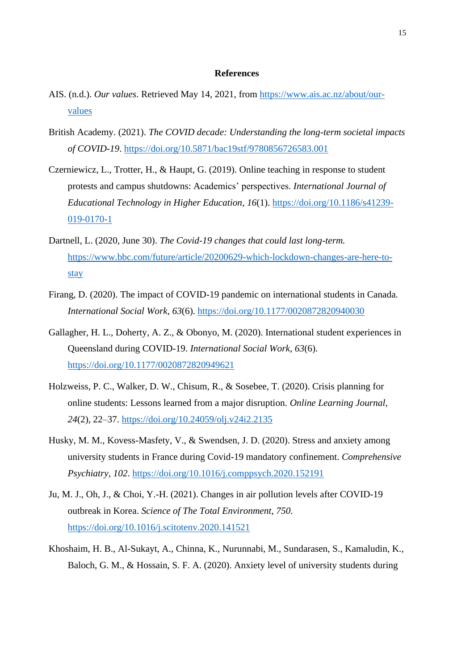#### **References**

- AIS. (n.d.). *Our values*. Retrieved May 14, 2021, from [https://www.ais.ac.nz/about/our](https://www.ais.ac.nz/about/our-values)[values](https://www.ais.ac.nz/about/our-values)
- British Academy. (2021). *The COVID decade: Understanding the long-term societal impacts of COVID-19*.<https://doi.org/10.5871/bac19stf/9780856726583.001>
- Czerniewicz, L., Trotter, H., & Haupt, G. (2019). Online teaching in response to student protests and campus shutdowns: Academics' perspectives. *International Journal of Educational Technology in Higher Education*, *16*(1). [https://doi.org/10.1186/s41239-](https://doi.org/10.1186/s41239-019-0170-1) [019-0170-1](https://doi.org/10.1186/s41239-019-0170-1)
- Dartnell, L. (2020, June 30). *The Covid-19 changes that could last long-term.* [https://www.bbc.com/future/article/20200629-which-lockdown-changes-are-here-to](https://www.bbc.com/future/article/20200629-which-lockdown-changes-are-here-to-stay)[stay](https://www.bbc.com/future/article/20200629-which-lockdown-changes-are-here-to-stay)
- Firang, D. (2020). The impact of COVID-19 pandemic on international students in Canada. *International Social Work*, *63*(6).<https://doi.org/10.1177/0020872820940030>
- Gallagher, H. L., Doherty, A. Z., & Obonyo, M. (2020). International student experiences in Queensland during COVID-19. *International Social Work*, *63*(6). <https://doi.org/10.1177/0020872820949621>
- Holzweiss, P. C., Walker, D. W., Chisum, R., & Sosebee, T. (2020). Crisis planning for online students: Lessons learned from a major disruption. *Online Learning Journal*, *24*(2), 22–37.<https://doi.org/10.24059/olj.v24i2.2135>
- Husky, M. M., Kovess-Masfety, V., & Swendsen, J. D. (2020). Stress and anxiety among university students in France during Covid-19 mandatory confinement. *Comprehensive Psychiatry*, *102*.<https://doi.org/10.1016/j.comppsych.2020.152191>
- Ju, M. J., Oh, J., & Choi, Y.-H. (2021). Changes in air pollution levels after COVID-19 outbreak in Korea. *Science of The Total Environment*, *750*. <https://doi.org/10.1016/j.scitotenv.2020.141521>
- Khoshaim, H. B., Al-Sukayt, A., Chinna, K., Nurunnabi, M., Sundarasen, S., Kamaludin, K., Baloch, G. M., & Hossain, S. F. A. (2020). Anxiety level of university students during